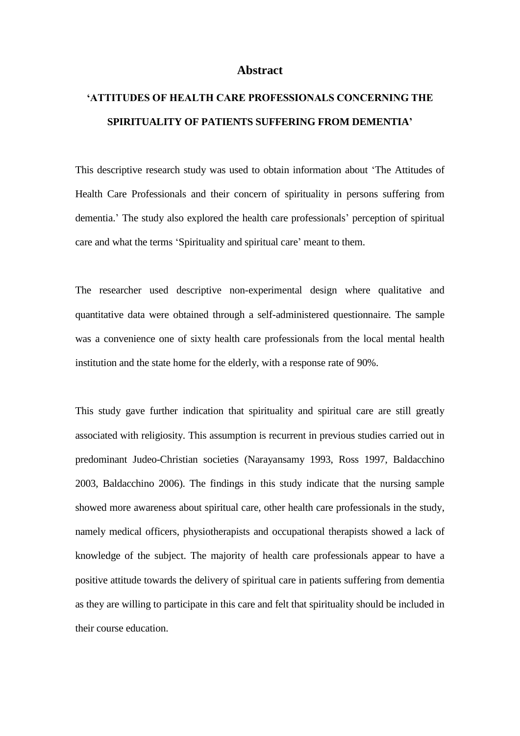## **Abstract**

## **'ATTITUDES OF HEALTH CARE PROFESSIONALS CONCERNING THE SPIRITUALITY OF PATIENTS SUFFERING FROM DEMENTIA'**

This descriptive research study was used to obtain information about 'The Attitudes of Health Care Professionals and their concern of spirituality in persons suffering from dementia.' The study also explored the health care professionals' perception of spiritual care and what the terms 'Spirituality and spiritual care' meant to them.

The researcher used descriptive non-experimental design where qualitative and quantitative data were obtained through a self-administered questionnaire. The sample was a convenience one of sixty health care professionals from the local mental health institution and the state home for the elderly, with a response rate of 90%.

This study gave further indication that spirituality and spiritual care are still greatly associated with religiosity. This assumption is recurrent in previous studies carried out in predominant Judeo-Christian societies (Narayansamy 1993, Ross 1997, Baldacchino 2003, Baldacchino 2006). The findings in this study indicate that the nursing sample showed more awareness about spiritual care, other health care professionals in the study, namely medical officers, physiotherapists and occupational therapists showed a lack of knowledge of the subject. The majority of health care professionals appear to have a positive attitude towards the delivery of spiritual care in patients suffering from dementia as they are willing to participate in this care and felt that spirituality should be included in their course education.